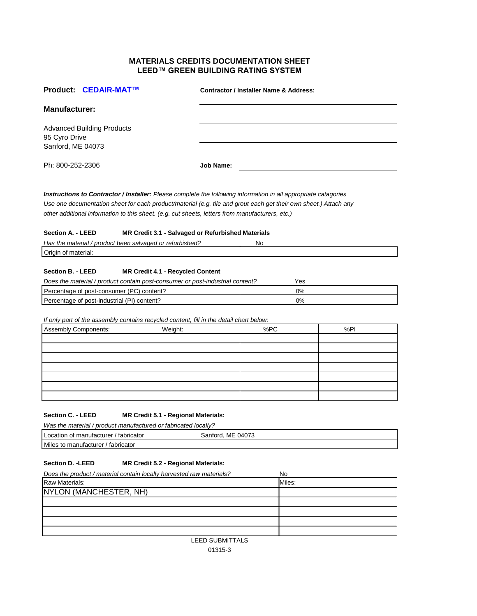## **MATERIALS CREDITS DOCUMENTATION SHEET LEED™ GREEN BUILDING RATING SYSTEM**

|                                    | Product: CEDAIR-MAT™                                                                     |                                                                                                                                                                                                                                                                                                                                        | <b>Contractor / Installer Name &amp; Address:</b> |     |  |
|------------------------------------|------------------------------------------------------------------------------------------|----------------------------------------------------------------------------------------------------------------------------------------------------------------------------------------------------------------------------------------------------------------------------------------------------------------------------------------|---------------------------------------------------|-----|--|
| <b>Manufacturer:</b>               |                                                                                          |                                                                                                                                                                                                                                                                                                                                        |                                                   |     |  |
| 95 Cyro Drive<br>Sanford, ME 04073 | <b>Advanced Building Products</b>                                                        |                                                                                                                                                                                                                                                                                                                                        |                                                   |     |  |
| Ph: 800-252-2306                   |                                                                                          | Job Name:                                                                                                                                                                                                                                                                                                                              |                                                   |     |  |
|                                    |                                                                                          | Instructions to Contractor / Installer: Please complete the following information in all appropriate catagories<br>Use one documentation sheet for each product/material (e.g. tile and grout each get their own sheet.) Attach any<br>other additional information to this sheet. (e.g. cut sheets, letters from manufacturers, etc.) |                                                   |     |  |
| Section A. - LEED                  |                                                                                          | MR Credit 3.1 - Salvaged or Refurbished Materials                                                                                                                                                                                                                                                                                      |                                                   |     |  |
|                                    | Has the material / product been salvaged or refurbished?                                 |                                                                                                                                                                                                                                                                                                                                        | No                                                |     |  |
| Origin of material:                |                                                                                          |                                                                                                                                                                                                                                                                                                                                        |                                                   |     |  |
| Section B. - LEED                  |                                                                                          | <b>MR Credit 4.1 - Recycled Content</b><br>Does the material / product contain post-consumer or post-industrial content?                                                                                                                                                                                                               | Yes                                               |     |  |
|                                    | Percentage of post-consumer (PC) content?<br>Percentage of post-industrial (PI) content? |                                                                                                                                                                                                                                                                                                                                        | 0%<br>0%                                          |     |  |
|                                    |                                                                                          | If only part of the assembly contains recycled content, fill in the detail chart below:                                                                                                                                                                                                                                                |                                                   |     |  |
| <b>Assembly Components:</b>        |                                                                                          | Weight:                                                                                                                                                                                                                                                                                                                                | %PC                                               | %PI |  |
|                                    |                                                                                          |                                                                                                                                                                                                                                                                                                                                        |                                                   |     |  |
|                                    |                                                                                          |                                                                                                                                                                                                                                                                                                                                        |                                                   |     |  |
|                                    |                                                                                          |                                                                                                                                                                                                                                                                                                                                        |                                                   |     |  |
|                                    |                                                                                          |                                                                                                                                                                                                                                                                                                                                        |                                                   |     |  |
|                                    |                                                                                          |                                                                                                                                                                                                                                                                                                                                        |                                                   |     |  |
|                                    |                                                                                          |                                                                                                                                                                                                                                                                                                                                        |                                                   |     |  |
| <b>Section C. - LEED</b>           | Was the material / product manufactured or fabricated locally?                           | MR Credit 5.1 - Regional Materials:                                                                                                                                                                                                                                                                                                    |                                                   |     |  |
|                                    | Location of manufacturer / fabricator                                                    | Sanford, ME 04073                                                                                                                                                                                                                                                                                                                      |                                                   |     |  |
|                                    | Miles to manufacturer / fabricator                                                       |                                                                                                                                                                                                                                                                                                                                        |                                                   |     |  |
| <b>Section D. - LEED</b>           |                                                                                          | MR Credit 5.2 - Regional Materials:                                                                                                                                                                                                                                                                                                    |                                                   |     |  |
| Raw Materials:                     | Does the product / material contain locally harvested raw materials?                     |                                                                                                                                                                                                                                                                                                                                        | No<br>Miles:                                      |     |  |
|                                    | NYLON (MANCHESTER, NH)                                                                   |                                                                                                                                                                                                                                                                                                                                        |                                                   |     |  |
|                                    |                                                                                          |                                                                                                                                                                                                                                                                                                                                        |                                                   |     |  |
|                                    |                                                                                          |                                                                                                                                                                                                                                                                                                                                        |                                                   |     |  |
|                                    |                                                                                          |                                                                                                                                                                                                                                                                                                                                        |                                                   |     |  |

LEED SUBMITTALS 01315-3